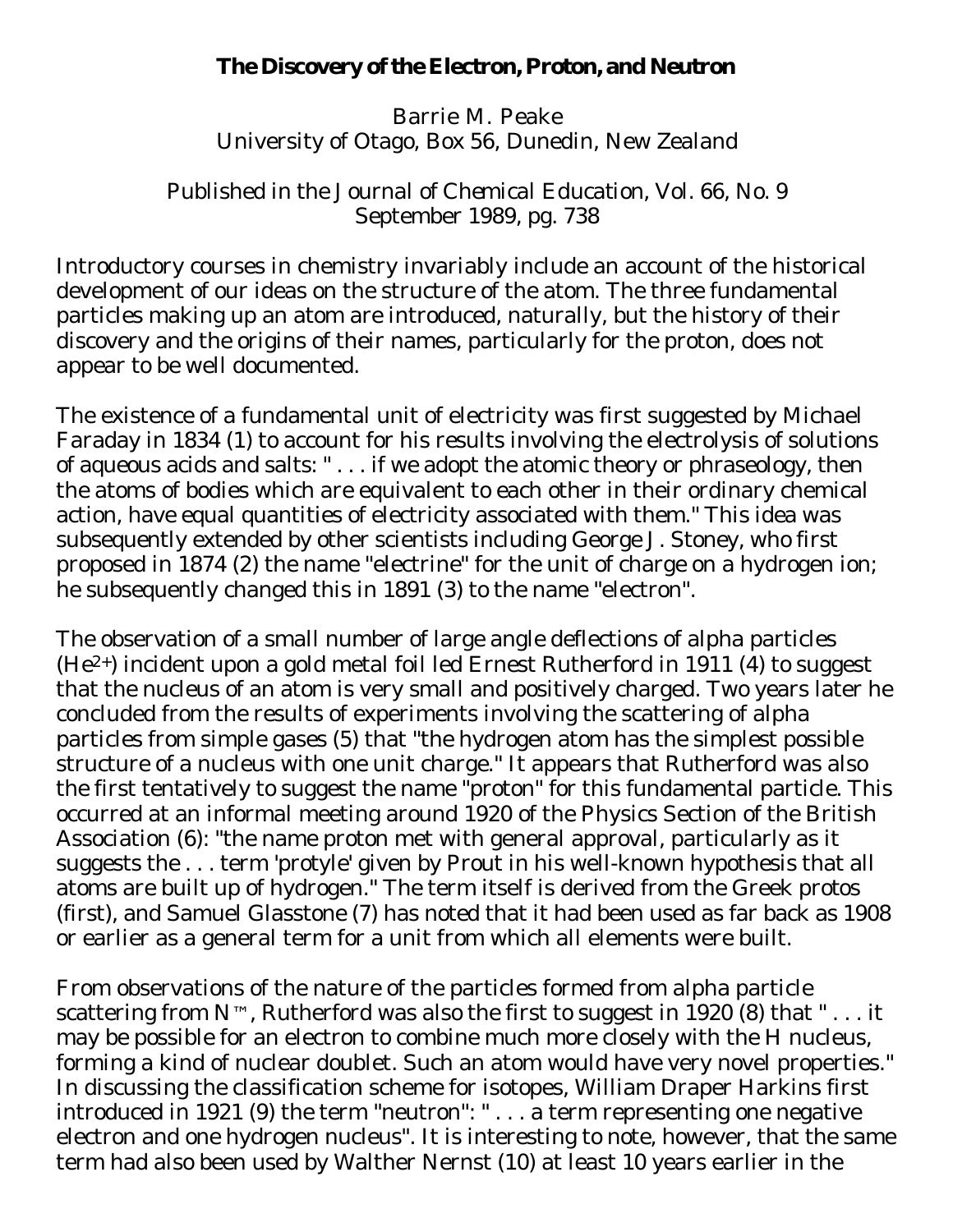## **The Discovery of the Electron, Proton, and Neutron**

Barrie M. Peake University of Otago, Box 56, Dunedin, New Zealand

Published in the *Journal of Chemical Education*, Vol. 66, No. 9 September 1989, pg. 738

Introductory courses in chemistry invariably include an account of the historical development of our ideas on the structure of the atom. The three fundamental particles making up an atom are introduced, naturally, but the history of their discovery and the origins of their names, particularly for the proton, does not appear to be well documented.

The existence of a fundamental unit of electricity was first suggested by Michael Faraday in 1834 (1) to account for his results involving the electrolysis of solutions of aqueous acids and salts: " . . . if we adopt the atomic theory or phraseology, then the atoms of bodies which are equivalent to each other in their ordinary chemical action, have equal quantities of electricity associated with them." This idea was subsequently extended by other scientists including George J. Stoney, who first proposed in 1874 (2) the name "electrine" for the unit of charge on a hydrogen ion; he subsequently changed this in 1891 (3) to the name "electron".

The observation of a small number of large angle deflections of alpha particles (He2+) incident upon a gold metal foil led Ernest Rutherford in 1911 (4) to suggest that the nucleus of an atom is very small and positively charged. Two years later he concluded from the results of experiments involving the scattering of alpha particles from simple gases (5) that "the hydrogen atom has the simplest possible structure of a nucleus with one unit charge." It appears that Rutherford was also the first tentatively to suggest the name "proton" for this fundamental particle. This occurred at an informal meeting around 1920 of the Physics Section of the British Association (6): "the name proton met with general approval, particularly as it suggests the . . . term 'protyle' given by Prout in his well-known hypothesis that all atoms are built up of hydrogen." The term itself is derived from the Greek *protos* (first), and Samuel Glasstone (7) has noted that it had been used as far back as 1908 or earlier as a general term for a unit from which all elements were built.

From observations of the nature of the particles formed from alpha particle scattering from  $N^{TM}$ , Rutherford was also the first to suggest in 1920 (8) that "... it may be possible for an electron to combine much more closely with the H nucleus, forming a kind of nuclear doublet. Such an atom would have very novel properties." In discussing the classification scheme for isotopes, William Draper Harkins first introduced in 1921 (9) the term "neutron": " . . . a term representing one negative electron and one hydrogen nucleus". It is interesting to note, however, that the same term had also been used by Walther Nernst (10) at least 10 years earlier in the